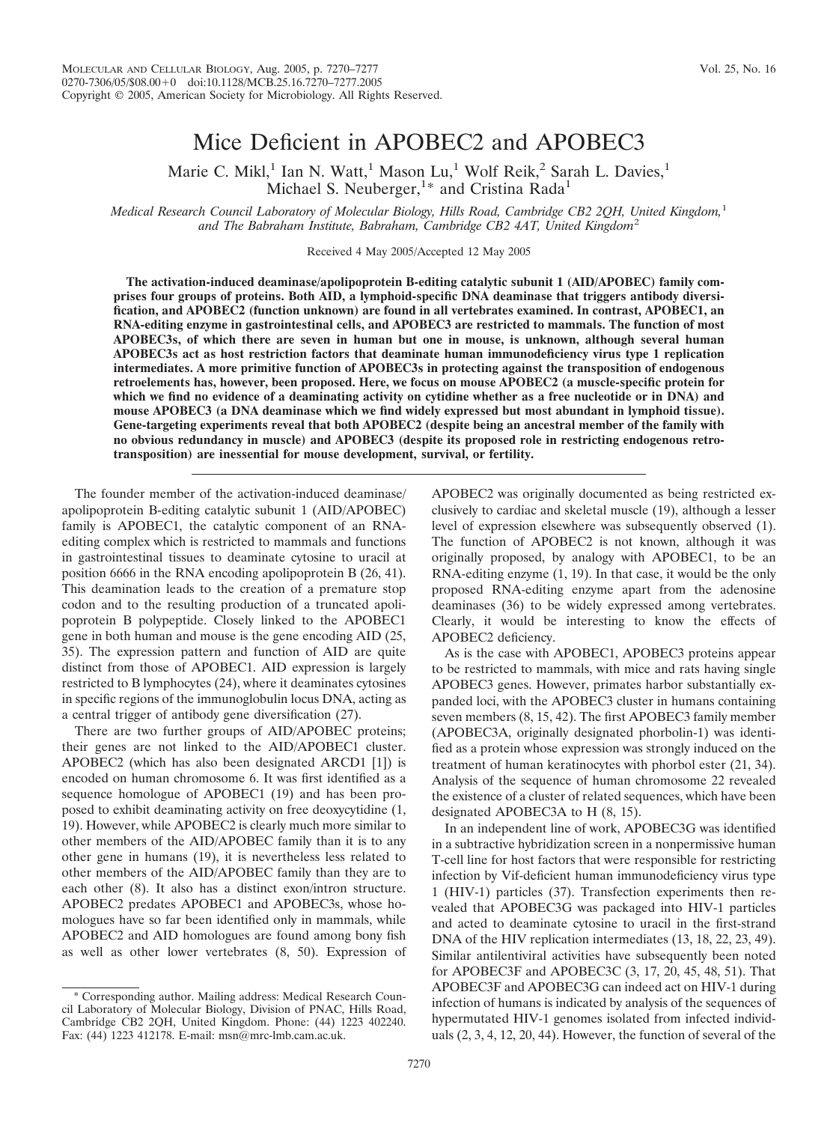# Mice Deficient in APOBEC2 and APOBEC3

Marie C. Mikl,<sup>1</sup> Ian N. Watt,<sup>1</sup> Mason Lu,<sup>1</sup> Wolf Reik,<sup>2</sup> Sarah L. Davies,<sup>1</sup> Michael S. Neuberger,  $1*$  and Cristina Rada<sup>1</sup>

*Medical Research Council Laboratory of Molecular Biology, Hills Road, Cambridge CB2 2QH, United Kingdom,*<sup>1</sup> *and The Babraham Institute, Babraham, Cambridge CB2 4AT, United Kingdom*<sup>2</sup>

Received 4 May 2005/Accepted 12 May 2005

**The activation-induced deaminase/apolipoprotein B-editing catalytic subunit 1 (AID/APOBEC) family comprises four groups of proteins. Both AID, a lymphoid-specific DNA deaminase that triggers antibody diversification, and APOBEC2 (function unknown) are found in all vertebrates examined. In contrast, APOBEC1, an RNA-editing enzyme in gastrointestinal cells, and APOBEC3 are restricted to mammals. The function of most APOBEC3s, of which there are seven in human but one in mouse, is unknown, although several human APOBEC3s act as host restriction factors that deaminate human immunodeficiency virus type 1 replication intermediates. A more primitive function of APOBEC3s in protecting against the transposition of endogenous retroelements has, however, been proposed. Here, we focus on mouse APOBEC2 (a muscle-specific protein for which we find no evidence of a deaminating activity on cytidine whether as a free nucleotide or in DNA) and mouse APOBEC3 (a DNA deaminase which we find widely expressed but most abundant in lymphoid tissue). Gene-targeting experiments reveal that both APOBEC2 (despite being an ancestral member of the family with no obvious redundancy in muscle) and APOBEC3 (despite its proposed role in restricting endogenous retrotransposition) are inessential for mouse development, survival, or fertility.**

The founder member of the activation-induced deaminase/ apolipoprotein B-editing catalytic subunit 1 (AID/APOBEC) family is APOBEC1, the catalytic component of an RNAediting complex which is restricted to mammals and functions in gastrointestinal tissues to deaminate cytosine to uracil at position 6666 in the RNA encoding apolipoprotein B (26, 41). This deamination leads to the creation of a premature stop codon and to the resulting production of a truncated apolipoprotein B polypeptide. Closely linked to the APOBEC1 gene in both human and mouse is the gene encoding AID (25, 35). The expression pattern and function of AID are quite distinct from those of APOBEC1. AID expression is largely restricted to B lymphocytes (24), where it deaminates cytosines in specific regions of the immunoglobulin locus DNA, acting as a central trigger of antibody gene diversification (27).

There are two further groups of AID/APOBEC proteins; their genes are not linked to the AID/APOBEC1 cluster. APOBEC2 (which has also been designated ARCD1 [1]) is encoded on human chromosome 6. It was first identified as a sequence homologue of APOBEC1 (19) and has been proposed to exhibit deaminating activity on free deoxycytidine (1, 19). However, while APOBEC2 is clearly much more similar to other members of the AID/APOBEC family than it is to any other gene in humans (19), it is nevertheless less related to other members of the AID/APOBEC family than they are to each other (8). It also has a distinct exon/intron structure. APOBEC2 predates APOBEC1 and APOBEC3s, whose homologues have so far been identified only in mammals, while APOBEC2 and AID homologues are found among bony fish as well as other lower vertebrates (8, 50). Expression of

Corresponding author. Mailing address: Medical Research Council Laboratory of Molecular Biology, Division of PNAC, Hills Road, Cambridge CB2 2QH, United Kingdom. Phone: (44) 1223 402240. Fax: (44) 1223 412178. E-mail: msn@mrc-lmb.cam.ac.uk.

APOBEC2 was originally documented as being restricted exclusively to cardiac and skeletal muscle (19), although a lesser level of expression elsewhere was subsequently observed (1). The function of APOBEC2 is not known, although it was originally proposed, by analogy with APOBEC1, to be an RNA-editing enzyme (1, 19). In that case, it would be the only proposed RNA-editing enzyme apart from the adenosine deaminases (36) to be widely expressed among vertebrates. Clearly, it would be interesting to know the effects of APOBEC2 deficiency.

As is the case with APOBEC1, APOBEC3 proteins appear to be restricted to mammals, with mice and rats having single APOBEC3 genes. However, primates harbor substantially expanded loci, with the APOBEC3 cluster in humans containing seven members (8, 15, 42). The first APOBEC3 family member (APOBEC3A, originally designated phorbolin-1) was identified as a protein whose expression was strongly induced on the treatment of human keratinocytes with phorbol ester (21, 34). Analysis of the sequence of human chromosome 22 revealed the existence of a cluster of related sequences, which have been designated APOBEC3A to H (8, 15).

In an independent line of work, APOBEC3G was identified in a subtractive hybridization screen in a nonpermissive human T-cell line for host factors that were responsible for restricting infection by Vif-deficient human immunodeficiency virus type 1 (HIV-1) particles (37). Transfection experiments then revealed that APOBEC3G was packaged into HIV-1 particles and acted to deaminate cytosine to uracil in the first-strand DNA of the HIV replication intermediates  $(13, 18, 22, 23, 49)$ . Similar antilentiviral activities have subsequently been noted for APOBEC3F and APOBEC3C (3, 17, 20, 45, 48, 51). That APOBEC3F and APOBEC3G can indeed act on HIV-1 during infection of humans is indicated by analysis of the sequences of hypermutated HIV-1 genomes isolated from infected individuals (2, 3, 4, 12, 20, 44). However, the function of several of the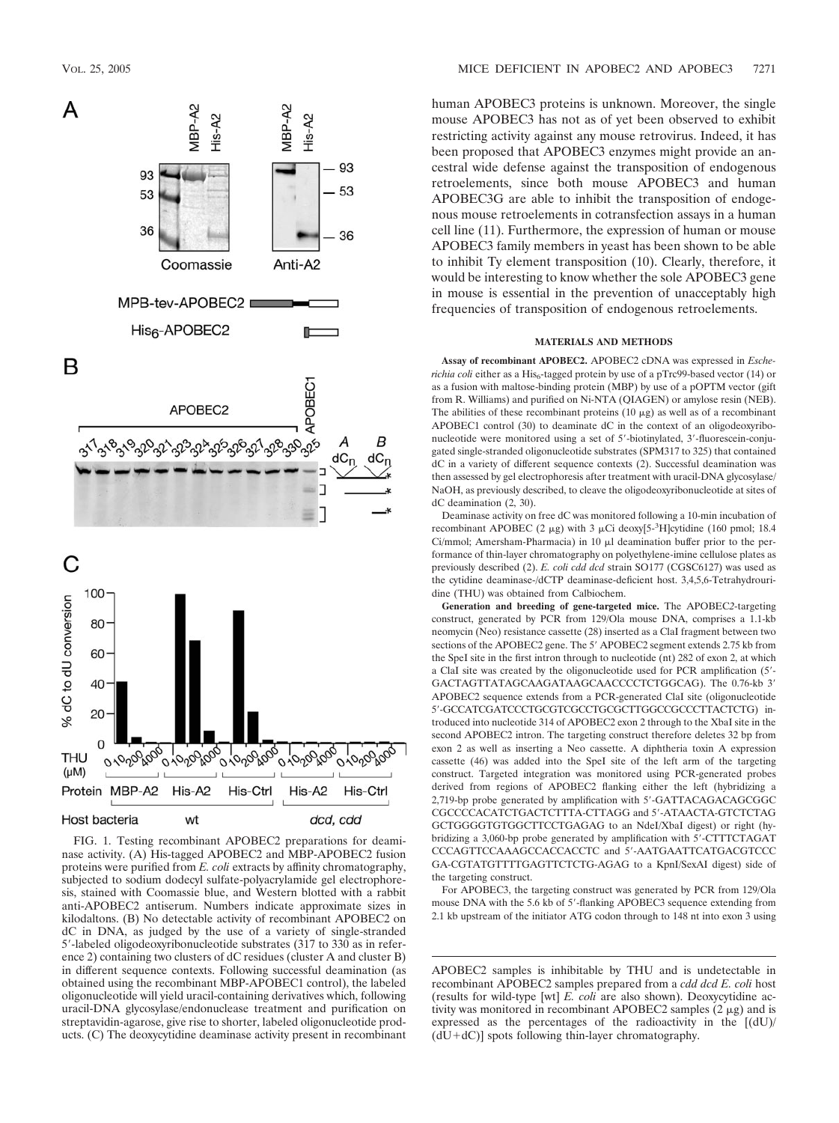

FIG. 1. Testing recombinant APOBEC2 preparations for deaminase activity. (A) His-tagged APOBEC2 and MBP-APOBEC2 fusion proteins were purified from *E. coli* extracts by affinity chromatography, subjected to sodium dodecyl sulfate-polyacrylamide gel electrophoresis, stained with Coomassie blue, and Western blotted with a rabbit anti-APOBEC2 antiserum. Numbers indicate approximate sizes in kilodaltons. (B) No detectable activity of recombinant APOBEC2 on dC in DNA, as judged by the use of a variety of single-stranded 5-labeled oligodeoxyribonucleotide substrates (317 to 330 as in reference 2) containing two clusters of dC residues (cluster A and cluster B) in different sequence contexts. Following successful deamination (as obtained using the recombinant MBP-APOBEC1 control), the labeled oligonucleotide will yield uracil-containing derivatives which, following uracil-DNA glycosylase/endonuclease treatment and purification on streptavidin-agarose, give rise to shorter, labeled oligonucleotide products. (C) The deoxycytidine deaminase activity present in recombinant human APOBEC3 proteins is unknown. Moreover, the single mouse APOBEC3 has not as of yet been observed to exhibit restricting activity against any mouse retrovirus. Indeed, it has been proposed that APOBEC3 enzymes might provide an ancestral wide defense against the transposition of endogenous retroelements, since both mouse APOBEC3 and human APOBEC3G are able to inhibit the transposition of endogenous mouse retroelements in cotransfection assays in a human cell line (11). Furthermore, the expression of human or mouse APOBEC3 family members in yeast has been shown to be able to inhibit Ty element transposition (10). Clearly, therefore, it would be interesting to know whether the sole APOBEC3 gene in mouse is essential in the prevention of unacceptably high frequencies of transposition of endogenous retroelements.

#### **MATERIALS AND METHODS**

**Assay of recombinant APOBEC2.** APOBEC2 cDNA was expressed in *Escherichia coli* either as a His<sub>6</sub>-tagged protein by use of a pTrc99-based vector (14) or as a fusion with maltose-binding protein (MBP) by use of a pOPTM vector (gift from R. Williams) and purified on Ni-NTA (QIAGEN) or amylose resin (NEB). The abilities of these recombinant proteins  $(10 \mu g)$  as well as of a recombinant APOBEC1 control (30) to deaminate dC in the context of an oligodeoxyribonucleotide were monitored using a set of 5-biotinylated, 3-fluorescein-conjugated single-stranded oligonucleotide substrates (SPM317 to 325) that contained dC in a variety of different sequence contexts (2). Successful deamination was then assessed by gel electrophoresis after treatment with uracil-DNA glycosylase/ NaOH, as previously described, to cleave the oligodeoxyribonucleotide at sites of dC deamination (2, 30).

Deaminase activity on free dC was monitored following a 10-min incubation of recombinant APOBEC (2  $\mu$ g) with 3  $\mu$ Ci deoxy[5-<sup>3</sup>H]cytidine (160 pmol; 18.4  $Ci/mmol$ ; Amersham-Pharmacia) in 10  $\mu$ l deamination buffer prior to the performance of thin-layer chromatography on polyethylene-imine cellulose plates as previously described (2). *E. coli cdd dcd* strain SO177 (CGSC6127) was used as the cytidine deaminase-/dCTP deaminase-deficient host. 3,4,5,6-Tetrahydrouridine (THU) was obtained from Calbiochem.

**Generation and breeding of gene-targeted mice.** The APOBEC*2*-targeting construct, generated by PCR from 129/Ola mouse DNA, comprises a 1.1-kb neomycin (Neo) resistance cassette (28) inserted as a ClaI fragment between two sections of the APOBEC2 gene. The 5' APOBEC2 segment extends 2.75 kb from the SpeI site in the first intron through to nucleotide (nt) 282 of exon 2, at which a ClaI site was created by the oligonucleotide used for PCR amplification (5- GACTAGTTATAGCAAGATAAGCAACCCCTCTGGCAG). The 0.76-kb 3 APOBEC2 sequence extends from a PCR-generated ClaI site (oligonucleotide 5-GCCATCGATCCCTGCGTCGCCTGCGCTTGGCCGCCCTTACTCTG) introduced into nucleotide 314 of APOBEC2 exon 2 through to the XbaI site in the second APOBEC2 intron. The targeting construct therefore deletes 32 bp from exon 2 as well as inserting a Neo cassette. A diphtheria toxin A expression cassette (46) was added into the SpeI site of the left arm of the targeting construct. Targeted integration was monitored using PCR-generated probes derived from regions of APOBEC2 flanking either the left (hybridizing a 2,719-bp probe generated by amplification with 5'-GATTACAGACAGCGGC CGCCCCACATCTGACTCTTTA-CTTAGG and 5-ATAACTA-GTCTCTAG GCTGGGGTGTGGCTTCCTGAGAG to an NdeI/XbaI digest) or right (hybridizing a 3,060-bp probe generated by amplification with 5-CTTTCTAGAT CCCAGTTCCAAAGCCACCACCTC and 5-AATGAATTCATGACGTCCC GA-CGTATGTTTTGAGTTCTCTG-AGAG to a KpnI/SexAI digest) side of the targeting construct.

For APOBEC3, the targeting construct was generated by PCR from 129/Ola mouse DNA with the 5.6 kb of 5'-flanking APOBEC3 sequence extending from 2.1 kb upstream of the initiator ATG codon through to 148 nt into exon 3 using

APOBEC2 samples is inhibitable by THU and is undetectable in recombinant APOBEC2 samples prepared from a *cdd dcd E. coli* host (results for wild-type [wt] *E. coli* are also shown). Deoxycytidine activity was monitored in recombinant APOBEC2 samples  $(2 \mu g)$  and is expressed as the percentages of the radioactivity in the [(dU)/  $(dU+dC)$ ] spots following thin-layer chromatography.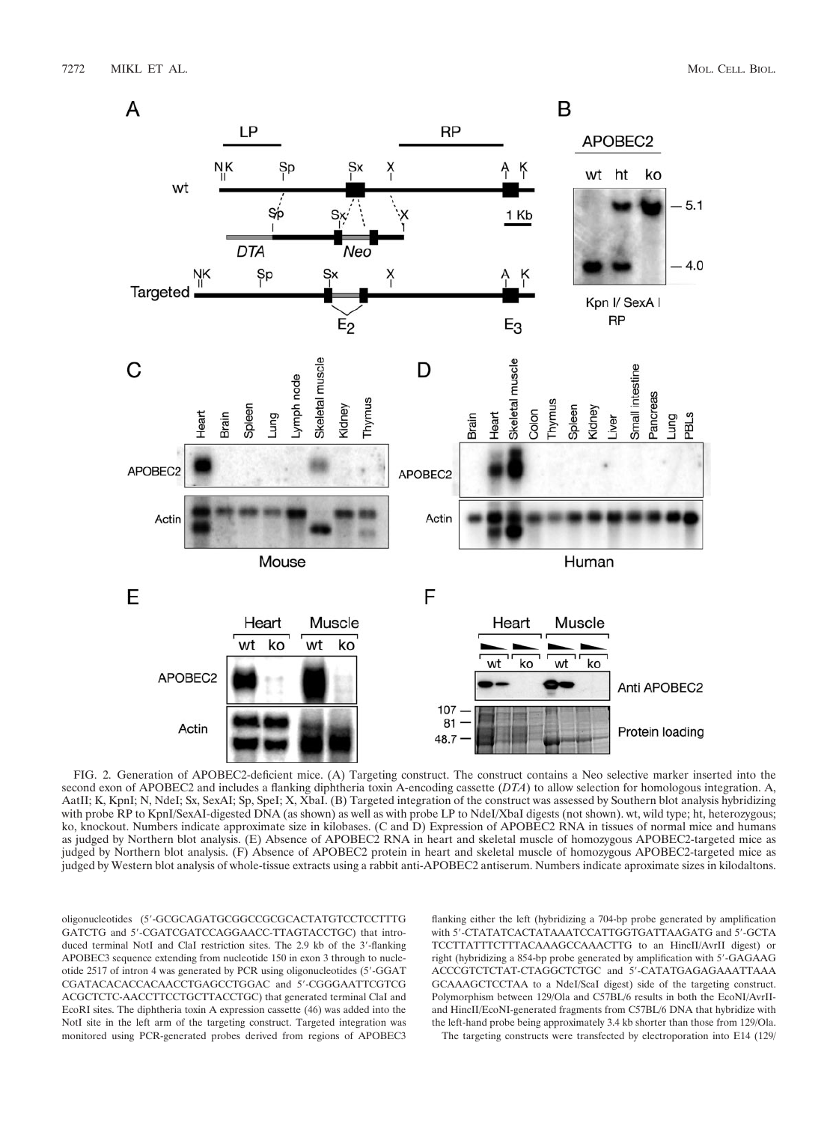

FIG. 2. Generation of APOBEC2-deficient mice. (A) Targeting construct. The construct contains a Neo selective marker inserted into the second exon of APOBEC2 and includes a flanking diphtheria toxin A-encoding cassette (*DTA*) to allow selection for homologous integration. A, AatII; K, KpnI; N, NdeI; Sx, SexAI; Sp, SpeI; X, XbaI. (B) Targeted integration of the construct was assessed by Southern blot analysis hybridizing with probe RP to KpnI/SexAI-digested DNA (as shown) as well as with probe LP to NdeI/XbaI digests (not shown). wt, wild type; ht, heterozygous; ko, knockout. Numbers indicate approximate size in kilobases. (C and D) Expression of APOBEC2 RNA in tissues of normal mice and humans as judged by Northern blot analysis. (E) Absence of APOBEC2 RNA in heart and skeletal muscle of homozygous APOBEC2-targeted mice as judged by Northern blot analysis. (F) Absence of APOBEC2 protein in heart and skeletal muscle of homozygous APOBEC2-targeted mice as judged by Western blot analysis of whole-tissue extracts using a rabbit anti-APOBEC2 antiserum. Numbers indicate aproximate sizes in kilodaltons.

oligonucleotides (5-GCGCAGATGCGGCCGCGCACTATGTCCTCCTTTG GATCTG and 5-CGATCGATCCAGGAACC-TTAGTACCTGC) that introduced terminal NotI and ClaI restriction sites. The 2.9 kb of the 3'-flanking APOBEC3 sequence extending from nucleotide 150 in exon 3 through to nucleotide 2517 of intron 4 was generated by PCR using oligonucleotides (5-GGAT CGATACACACCACAACCTGAGCCTGGAC and 5-CGGGAATTCGTCG ACGCTCTC-AACCTTCCTGCTTACCTGC) that generated terminal ClaI and EcoRI sites. The diphtheria toxin A expression cassette (46) was added into the NotI site in the left arm of the targeting construct. Targeted integration was monitored using PCR-generated probes derived from regions of APOBEC3 flanking either the left (hybridizing a 704-bp probe generated by amplification with 5'-CTATATCACTATAAATCCATTGGTGATTAAGATG and 5'-GCTA TCCTTATTTCTTTACAAAGCCAAACTTG to an HincII/AvrII digest) or right (hybridizing a 854-bp probe generated by amplification with 5'-GAGAAG ACCCGTCTCTAT-CTAGGCTCTGC and 5-CATATGAGAGAAATTAAA GCAAAGCTCCTAA to a NdeI/ScaI digest) side of the targeting construct. Polymorphism between 129/Ola and C57BL/6 results in both the EcoNI/AvrIIand HincII/EcoNI-generated fragments from C57BL/6 DNA that hybridize with the left-hand probe being approximately 3.4 kb shorter than those from 129/Ola. The targeting constructs were transfected by electroporation into E14 (129/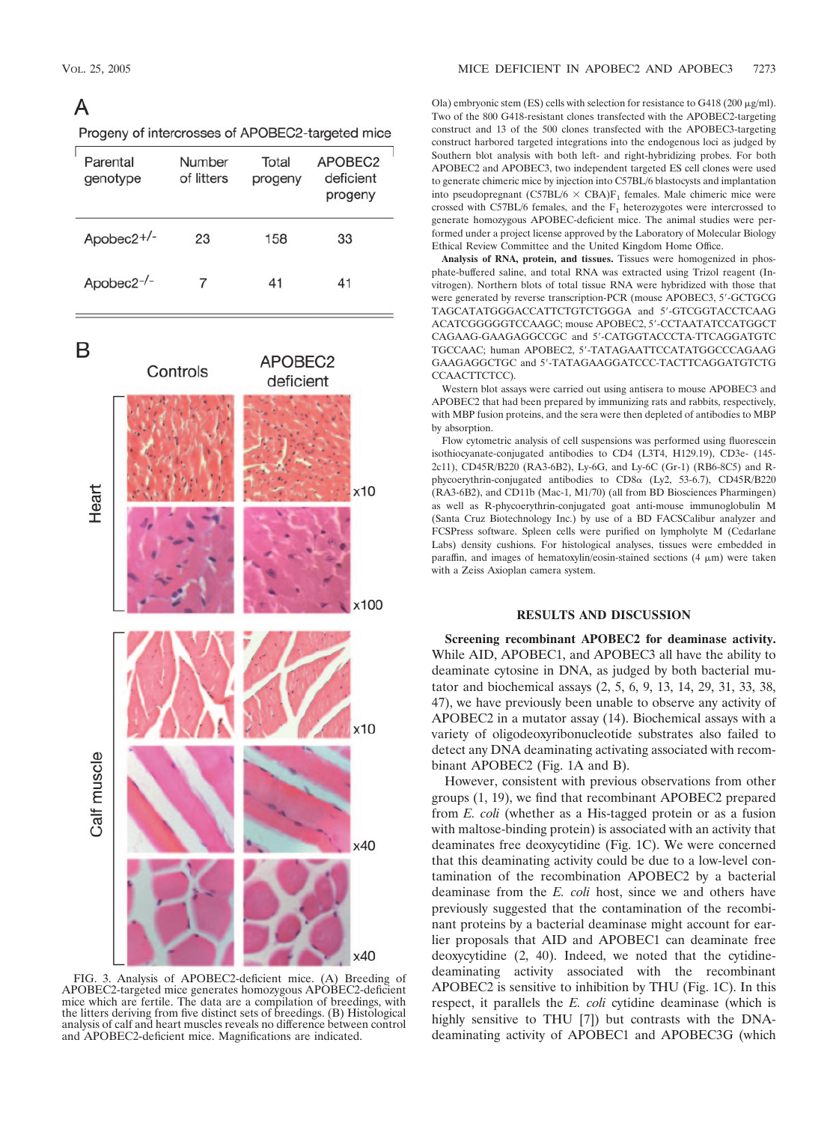## A

| Progeny of intercrosses of APOBEC2-targeted mice |  |
|--------------------------------------------------|--|
|--------------------------------------------------|--|

| Parental<br>genotype   | Number<br>of litters | Total<br>progeny | APOBEC2<br>deficient<br>progeny |
|------------------------|----------------------|------------------|---------------------------------|
| Apobec2+/-             | 23                   | 158              | 33                              |
| Apobec2 <sup>-/-</sup> |                      | 41               | 41                              |

B



FIG. 3. Analysis of APOBEC2-deficient mice. (A) Breeding of APOBEC2-targeted mice generates homozygous APOBEC2-deficient mice which are fertile. The data are a compilation of breedings, with the litters deriving from five distinct sets of breedings. (B) Histological analysis of calf and heart muscles reveals no difference between control and APOBEC2-deficient mice. Magnifications are indicated.

Ola) embryonic stem (ES) cells with selection for resistance to  $G418 (200 \mu g/ml)$ . Two of the 800 G418-resistant clones transfected with the APOBEC2-targeting construct and 13 of the 500 clones transfected with the APOBEC3-targeting construct harbored targeted integrations into the endogenous loci as judged by Southern blot analysis with both left- and right-hybridizing probes. For both APOBEC2 and APOBEC3, two independent targeted ES cell clones were used to generate chimeric mice by injection into C57BL/6 blastocysts and implantation into pseudopregnant (C57BL/6  $\times$  CBA)F<sub>1</sub> females. Male chimeric mice were crossed with C57BL/6 females, and the  $F_1$  heterozygotes were intercrossed to generate homozygous APOBEC-deficient mice. The animal studies were performed under a project license approved by the Laboratory of Molecular Biology Ethical Review Committee and the United Kingdom Home Office.

**Analysis of RNA, protein, and tissues.** Tissues were homogenized in phosphate-buffered saline, and total RNA was extracted using Trizol reagent (Invitrogen). Northern blots of total tissue RNA were hybridized with those that were generated by reverse transcription-PCR (mouse APOBEC3, 5'-GCTGCG TAGCATATGGGACCATTCTGTCTGGGA and 5'-GTCGGTACCTCAAG ACATCGGGGGTCCAAGC; mouse APOBEC2, 5'-CCTAATATCCATGGCT CAGAAG-GAAGAGGCCGC and 5-CATGGTACCCTA-TTCAGGATGTC TGCCAAC; human APOBEC2, 5-TATAGAATTCCATATGGCCCAGAAG GAAGAGGCTGC and 5-TATAGAAGGATCCC-TACTTCAGGATGTCTG CCAACTTCTCC).

Western blot assays were carried out using antisera to mouse APOBEC3 and APOBEC2 that had been prepared by immunizing rats and rabbits, respectively, with MBP fusion proteins, and the sera were then depleted of antibodies to MBP by absorption.

Flow cytometric analysis of cell suspensions was performed using fluorescein isothiocyanate-conjugated antibodies to CD4 (L3T4, H129.19), CD3e- (145- 2c11), CD45R/B220 (RA3-6B2), Ly-6G, and Ly-6C (Gr-1) (RB6-8C5) and Rphycoerythrin-conjugated antibodies to  $CD8\alpha$  (Ly2, 53-6.7),  $CD45R/B220$ (RA3-6B2), and CD11b (Mac-1, M1/70) (all from BD Biosciences Pharmingen) as well as R-phycoerythrin-conjugated goat anti-mouse immunoglobulin M (Santa Cruz Biotechnology Inc.) by use of a BD FACSCalibur analyzer and FCSPress software. Spleen cells were purified on lympholyte M (Cedarlane Labs) density cushions. For histological analyses, tissues were embedded in paraffin, and images of hematoxylin/eosin-stained sections  $(4 \mu m)$  were taken with a Zeiss Axioplan camera system.

### **RESULTS AND DISCUSSION**

**Screening recombinant APOBEC2 for deaminase activity.** While AID, APOBEC1, and APOBEC3 all have the ability to deaminate cytosine in DNA, as judged by both bacterial mutator and biochemical assays (2, 5, 6, 9, 13, 14, 29, 31, 33, 38, 47), we have previously been unable to observe any activity of APOBEC2 in a mutator assay (14). Biochemical assays with a variety of oligodeoxyribonucleotide substrates also failed to detect any DNA deaminating activating associated with recombinant APOBEC2 (Fig. 1A and B).

However, consistent with previous observations from other groups (1, 19), we find that recombinant APOBEC2 prepared from *E. coli* (whether as a His-tagged protein or as a fusion with maltose-binding protein) is associated with an activity that deaminates free deoxycytidine (Fig. 1C). We were concerned that this deaminating activity could be due to a low-level contamination of the recombination APOBEC2 by a bacterial deaminase from the *E. coli* host, since we and others have previously suggested that the contamination of the recombinant proteins by a bacterial deaminase might account for earlier proposals that AID and APOBEC1 can deaminate free deoxycytidine (2, 40). Indeed, we noted that the cytidinedeaminating activity associated with the recombinant APOBEC2 is sensitive to inhibition by THU (Fig. 1C). In this respect, it parallels the *E. coli* cytidine deaminase (which is highly sensitive to THU [7]) but contrasts with the DNAdeaminating activity of APOBEC1 and APOBEC3G (which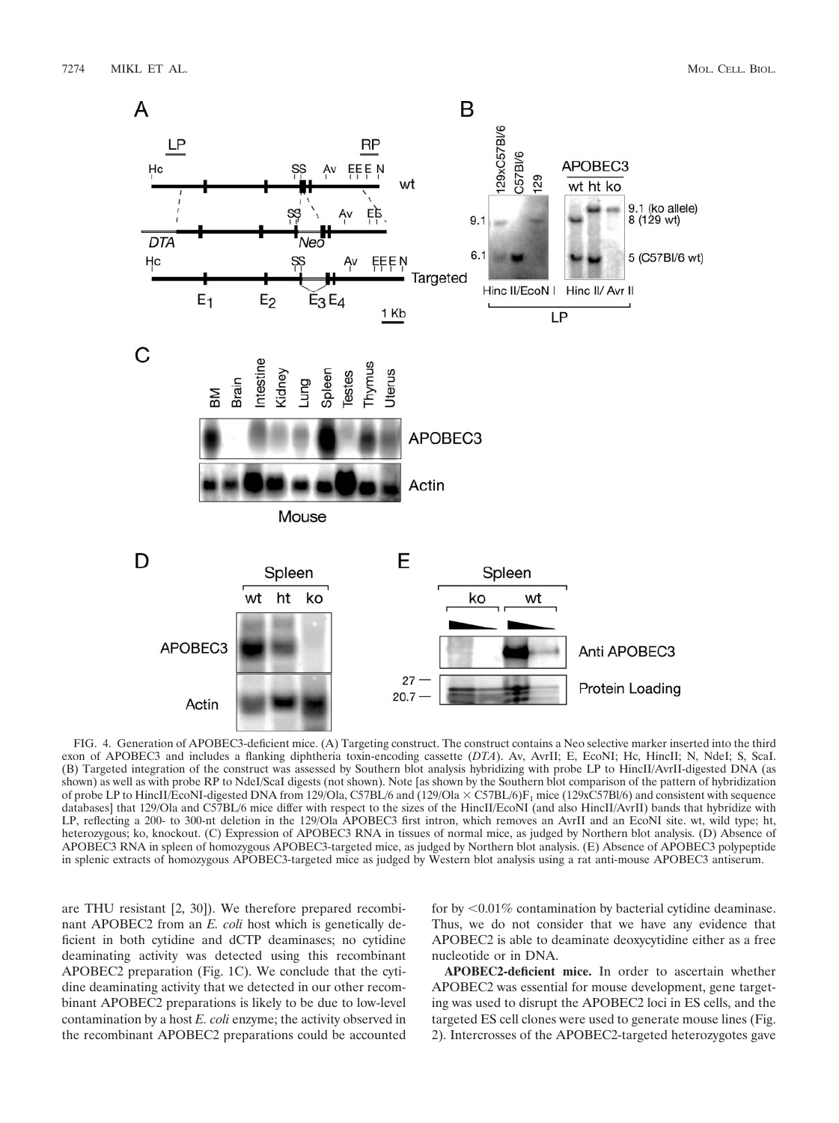

FIG. 4. Generation of APOBEC3-deficient mice. (A) Targeting construct. The construct contains a Neo selective marker inserted into the third exon of APOBEC3 and includes a flanking diphtheria toxin-encoding cassette (*DTA*). Av, AvrII; E, EcoNI; Hc, HincII; N, NdeI; S, ScaI. (B) Targeted integration of the construct was assessed by Southern blot analysis hybridizing with probe LP to HincII/AvrII-digested DNA (as shown) as well as with probe RP to NdeI/ScaI digests (not shown). Note [as shown by the Southern blot comparison of the pattern of hybridization of probe LP to HincII/EcoNI-digested DNA from 129/Ola, C57BL/6 and (129/Ola  $\times$  C57BL/6)F<sub>1</sub> mice (129xC57Bl/6) and consistent with sequence databases] that 129/Ola and C57BL/6 mice differ with respect to the sizes of the HincII/EcoNI (and also HincII/AvrII) bands that hybridize with LP, reflecting a 200- to 300-nt deletion in the 129/Ola APOBEC3 first intron, which removes an AvrII and an EcoNI site. wt, wild type; ht, heterozygous; ko, knockout. (C) Expression of APOBEC3 RNA in tissues of normal mice, as judged by Northern blot analysis. (D) Absence of APOBEC3 RNA in spleen of homozygous APOBEC3-targeted mice, as judged by Northern blot analysis. (E) Absence of APOBEC3 polypeptide in splenic extracts of homozygous APOBEC3-targeted mice as judged by Western blot analysis using a rat anti-mouse APOBEC3 antiserum.

are THU resistant [2, 30]). We therefore prepared recombinant APOBEC2 from an *E. coli* host which is genetically deficient in both cytidine and dCTP deaminases; no cytidine deaminating activity was detected using this recombinant APOBEC2 preparation (Fig. 1C). We conclude that the cytidine deaminating activity that we detected in our other recombinant APOBEC2 preparations is likely to be due to low-level contamination by a host *E. coli* enzyme; the activity observed in the recombinant APOBEC2 preparations could be accounted

for by  $\leq 0.01\%$  contamination by bacterial cytidine deaminase. Thus, we do not consider that we have any evidence that APOBEC2 is able to deaminate deoxycytidine either as a free nucleotide or in DNA.

**APOBEC2-deficient mice.** In order to ascertain whether APOBEC2 was essential for mouse development, gene targeting was used to disrupt the APOBEC2 loci in ES cells, and the targeted ES cell clones were used to generate mouse lines (Fig. 2). Intercrosses of the APOBEC2-targeted heterozygotes gave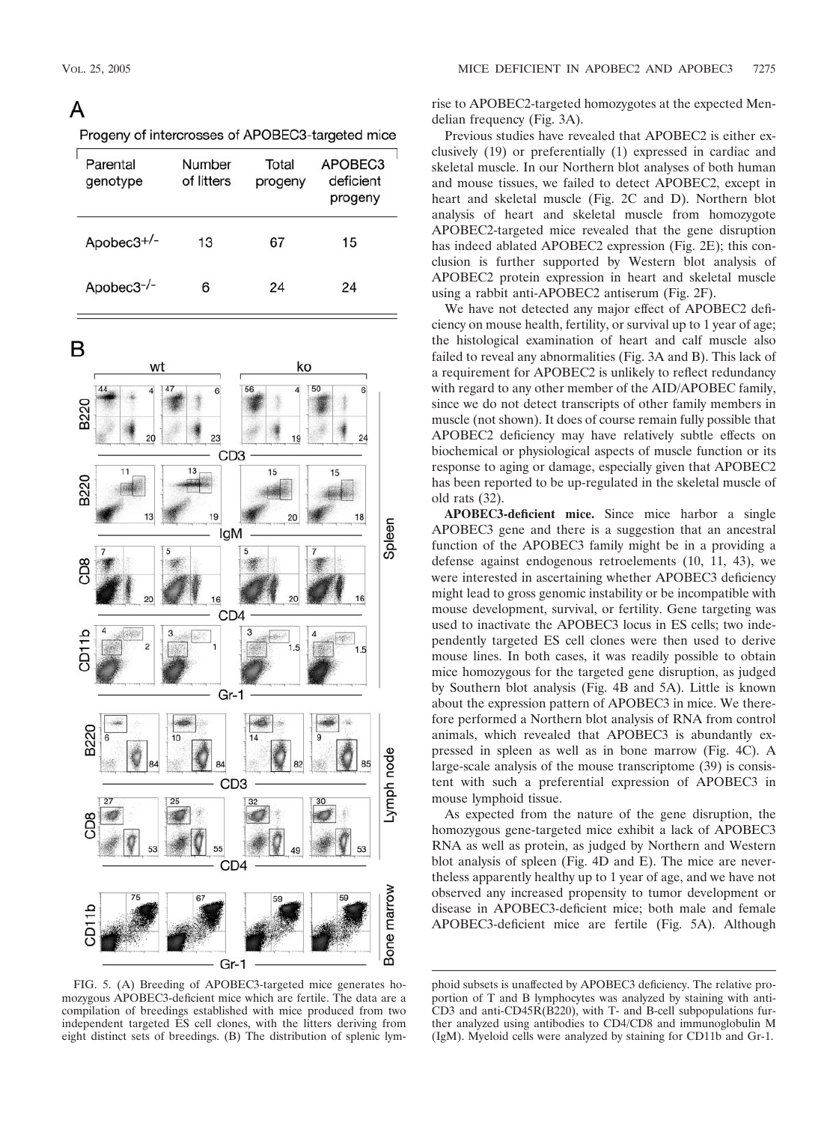## A

|  | Progeny of intercrosses of APOBEC3-targeted mice |  |
|--|--------------------------------------------------|--|
|--|--------------------------------------------------|--|

| Parental<br>genotype | Number<br>of litters | Total<br>progeny | APOBEC <sub>3</sub><br>deficient<br>progeny |
|----------------------|----------------------|------------------|---------------------------------------------|
| Apobec $3^{+/-}$     | 13                   | 67               | 15                                          |
| Apobec3-/-           | 6                    | 24               | 24                                          |

B



FIG. 5. (A) Breeding of APOBEC3-targeted mice generates homozygous APOBEC3-deficient mice which are fertile. The data are a compilation of breedings established with mice produced from two independent targeted ES cell clones, with the litters deriving from eight distinct sets of breedings. (B) The distribution of splenic lym-

rise to APOBEC2-targeted homozygotes at the expected Mendelian frequency (Fig. 3A).

Previous studies have revealed that APOBEC2 is either exclusively (19) or preferentially (1) expressed in cardiac and skeletal muscle. In our Northern blot analyses of both human and mouse tissues, we failed to detect APOBEC2, except in heart and skeletal muscle (Fig. 2C and D). Northern blot analysis of heart and skeletal muscle from homozygote APOBEC2-targeted mice revealed that the gene disruption has indeed ablated APOBEC2 expression (Fig. 2E); this conclusion is further supported by Western blot analysis of APOBEC2 protein expression in heart and skeletal muscle using a rabbit anti-APOBEC2 antiserum (Fig. 2F).

We have not detected any major effect of APOBEC2 deficiency on mouse health, fertility, or survival up to 1 year of age; the histological examination of heart and calf muscle also failed to reveal any abnormalities (Fig. 3A and B). This lack of a requirement for APOBEC2 is unlikely to reflect redundancy with regard to any other member of the AID/APOBEC family, since we do not detect transcripts of other family members in muscle (not shown). It does of course remain fully possible that APOBEC2 deficiency may have relatively subtle effects on biochemical or physiological aspects of muscle function or its response to aging or damage, especially given that APOBEC2 has been reported to be up-regulated in the skeletal muscle of old rats (32).

**APOBEC3-deficient mice.** Since mice harbor a single APOBEC3 gene and there is a suggestion that an ancestral function of the APOBEC3 family might be in a providing a defense against endogenous retroelements (10, 11, 43), we were interested in ascertaining whether APOBEC3 deficiency might lead to gross genomic instability or be incompatible with mouse development, survival, or fertility. Gene targeting was used to inactivate the APOBEC3 locus in ES cells; two independently targeted ES cell clones were then used to derive mouse lines. In both cases, it was readily possible to obtain mice homozygous for the targeted gene disruption, as judged by Southern blot analysis (Fig. 4B and 5A). Little is known about the expression pattern of APOBEC3 in mice. We therefore performed a Northern blot analysis of RNA from control animals, which revealed that APOBEC3 is abundantly expressed in spleen as well as in bone marrow (Fig. 4C). A large-scale analysis of the mouse transcriptome (39) is consistent with such a preferential expression of APOBEC3 in mouse lymphoid tissue.

As expected from the nature of the gene disruption, the homozygous gene-targeted mice exhibit a lack of APOBEC3 RNA as well as protein, as judged by Northern and Western blot analysis of spleen (Fig. 4D and E). The mice are nevertheless apparently healthy up to 1 year of age, and we have not observed any increased propensity to tumor development or disease in APOBEC3-deficient mice; both male and female APOBEC3-deficient mice are fertile (Fig. 5A). Although

phoid subsets is unaffected by APOBEC3 deficiency. The relative proportion of T and B lymphocytes was analyzed by staining with anti-CD3 and anti-CD45R( $\overline{B220}$ ), with T- and B-cell subpopulations further analyzed using antibodies to CD4/CD8 and immunoglobulin M (IgM). Myeloid cells were analyzed by staining for CD11b and Gr-1.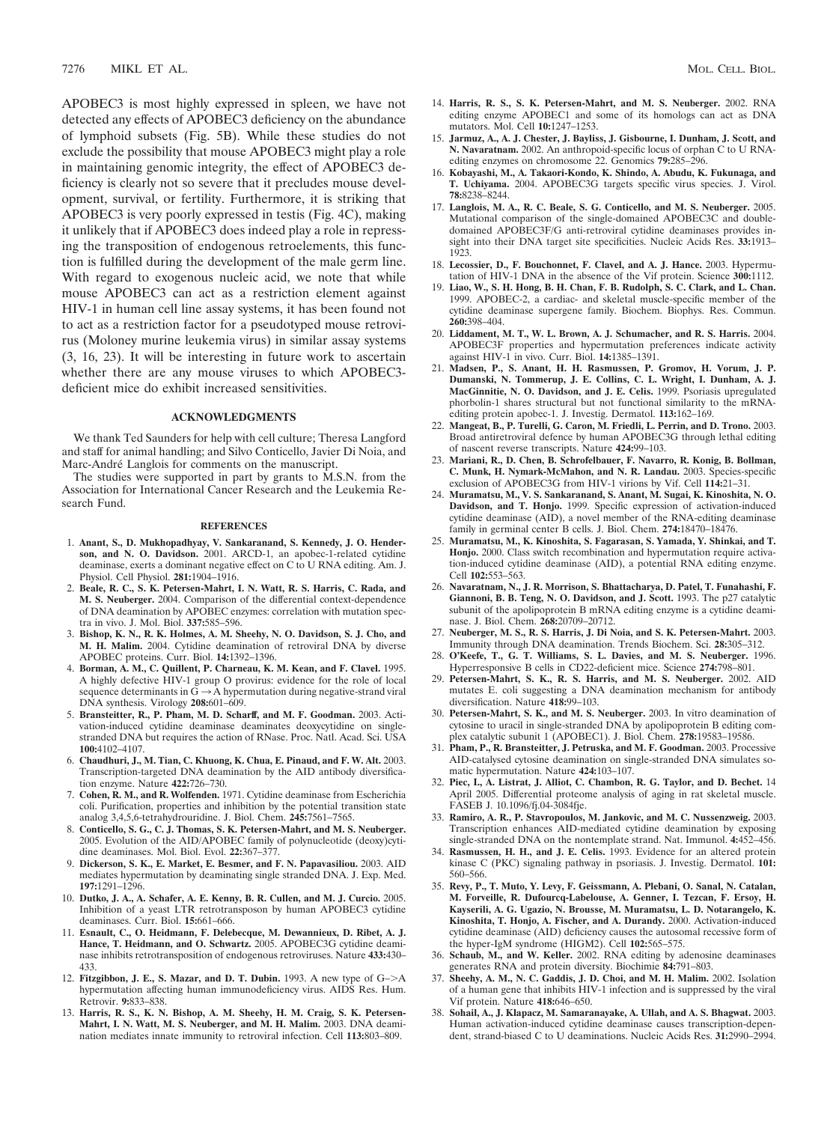APOBEC3 is most highly expressed in spleen, we have not detected any effects of APOBEC3 deficiency on the abundance of lymphoid subsets (Fig. 5B). While these studies do not exclude the possibility that mouse APOBEC3 might play a role in maintaining genomic integrity, the effect of APOBEC3 deficiency is clearly not so severe that it precludes mouse development, survival, or fertility. Furthermore, it is striking that APOBEC3 is very poorly expressed in testis (Fig. 4C), making it unlikely that if APOBEC3 does indeed play a role in repressing the transposition of endogenous retroelements, this function is fulfilled during the development of the male germ line. With regard to exogenous nucleic acid, we note that while mouse APOBEC3 can act as a restriction element against HIV-1 in human cell line assay systems, it has been found not to act as a restriction factor for a pseudotyped mouse retrovirus (Moloney murine leukemia virus) in similar assay systems (3, 16, 23). It will be interesting in future work to ascertain whether there are any mouse viruses to which APOBEC3 deficient mice do exhibit increased sensitivities.

### **ACKNOWLEDGMENTS**

We thank Ted Saunders for help with cell culture; Theresa Langford and staff for animal handling; and Silvo Conticello, Javier Di Noia, and Marc-André Langlois for comments on the manuscript.

The studies were supported in part by grants to M.S.N. from the Association for International Cancer Research and the Leukemia Research Fund.

#### **REFERENCES**

- 1. **Anant, S., D. Mukhopadhyay, V. Sankaranand, S. Kennedy, J. O. Henderson, and N. O. Davidson.** 2001. ARCD-1, an apobec-1-related cytidine deaminase, exerts a dominant negative effect on C to U RNA editing. Am. J. Physiol. Cell Physiol. **281:**1904–1916.
- 2. **Beale, R. C., S. K. Petersen-Mahrt, I. N. Watt, R. S. Harris, C. Rada, and M. S. Neuberger.** 2004. Comparison of the differential context-dependence of DNA deamination by APOBEC enzymes: correlation with mutation spectra in vivo. J. Mol. Biol. **337:**585–596.
- 3. **Bishop, K. N., R. K. Holmes, A. M. Sheehy, N. O. Davidson, S. J. Cho, and M. H. Malim.** 2004. Cytidine deamination of retroviral DNA by diverse APOBEC proteins. Curr. Biol. **14:**1392–1396.
- 4. **Borman, A. M., C. Quillent, P. Charneau, K. M. Kean, and F. Clavel.** 1995. A highly defective HIV-1 group O provirus: evidence for the role of local sequence determinants in  $\tilde{G} \rightarrow \tilde{A}$  hypermutation during negative-strand viral DNA synthesis. Virology **208:**601–609.
- 5. **Bransteitter, R., P. Pham, M. D. Scharff, and M. F. Goodman.** 2003. Activation-induced cytidine deaminase deaminates deoxycytidine on singlestranded DNA but requires the action of RNase. Proc. Natl. Acad. Sci. USA **100:**4102–4107.
- 6. **Chaudhuri, J., M. Tian, C. Khuong, K. Chua, E. Pinaud, and F. W. Alt.** 2003. Transcription-targeted DNA deamination by the AID antibody diversification enzyme. Nature **422:**726–730.
- 7. **Cohen, R. M., and R. Wolfenden.** 1971. Cytidine deaminase from Escherichia coli. Purification, properties and inhibition by the potential transition state analog 3,4,5,6-tetrahydrouridine. J. Biol. Chem. **245:**7561–7565.
- 8. **Conticello, S. G., C. J. Thomas, S. K. Petersen-Mahrt, and M. S. Neuberger.** 2005. Evolution of the AID/APOBEC family of polynucleotide (deoxy)cytidine deaminases. Mol. Biol. Evol. **22:**367–377.
- 9. **Dickerson, S. K., E. Market, E. Besmer, and F. N. Papavasiliou.** 2003. AID mediates hypermutation by deaminating single stranded DNA. J. Exp. Med. **197:**1291–1296.
- 10. **Dutko, J. A., A. Schafer, A. E. Kenny, B. R. Cullen, and M. J. Curcio.** 2005. Inhibition of a yeast LTR retrotransposon by human APOBEC3 cytidine deaminases. Curr. Biol. **15:**661–666.
- 11. **Esnault, C., O. Heidmann, F. Delebecque, M. Dewannieux, D. Ribet, A. J. Hance, T. Heidmann, and O. Schwartz.** 2005. APOBEC3G cytidine deaminase inhibits retrotransposition of endogenous retroviruses. Nature **433:**430– 433.
- 12. **Fitzgibbon, J. E., S. Mazar, and D. T. Dubin.** 1993. A new type of G–A hypermutation affecting human immunodeficiency virus. AIDS Res. Hum. Retrovir. **9:**833–838.
- 13. **Harris, R. S., K. N. Bishop, A. M. Sheehy, H. M. Craig, S. K. Petersen-Mahrt, I. N. Watt, M. S. Neuberger, and M. H. Malim.** 2003. DNA deamination mediates innate immunity to retroviral infection. Cell **113:**803–809.
- 14. **Harris, R. S., S. K. Petersen-Mahrt, and M. S. Neuberger.** 2002. RNA editing enzyme APOBEC1 and some of its homologs can act as DNA mutators. Mol. Cell **10:**1247–1253.
- 15. **Jarmuz, A., A. J. Chester, J. Bayliss, J. Gisbourne, I. Dunham, J. Scott, and N. Navaratnam.** 2002. An anthropoid-specific locus of orphan C to U RNAediting enzymes on chromosome 22. Genomics **79:**285–296.
- 16. **Kobayashi, M., A. Takaori-Kondo, K. Shindo, A. Abudu, K. Fukunaga, and T. Uchiyama.** 2004. APOBEC3G targets specific virus species. J. Virol. **78:**8238–8244.
- 17. **Langlois, M. A., R. C. Beale, S. G. Conticello, and M. S. Neuberger.** 2005. Mutational comparison of the single-domained APOBEC3C and doubledomained APOBEC3F/G anti-retroviral cytidine deaminases provides insight into their DNA target site specificities. Nucleic Acids Res. **33:**1913– 1923.
- 18. **Lecossier, D., F. Bouchonnet, F. Clavel, and A. J. Hance.** 2003. Hypermutation of HIV-1 DNA in the absence of the Vif protein. Science **300:**1112.
- 19. **Liao, W., S. H. Hong, B. H. Chan, F. B. Rudolph, S. C. Clark, and L. Chan.** 1999. APOBEC-2, a cardiac- and skeletal muscle-specific member of the cytidine deaminase supergene family. Biochem. Biophys. Res. Commun. **260:**398–404.
- 20. **Liddament, M. T., W. L. Brown, A. J. Schumacher, and R. S. Harris.** 2004. APOBEC3F properties and hypermutation preferences indicate activity against HIV-1 in vivo. Curr. Biol. **14:**1385–1391.
- 21. **Madsen, P., S. Anant, H. H. Rasmussen, P. Gromov, H. Vorum, J. P. Dumanski, N. Tommerup, J. E. Collins, C. L. Wright, I. Dunham, A. J. MacGinnitie, N. O. Davidson, and J. E. Celis.** 1999. Psoriasis upregulated phorbolin-1 shares structural but not functional similarity to the mRNAediting protein apobec-1. J. Investig. Dermatol. **113:**162–169.
- 22. **Mangeat, B., P. Turelli, G. Caron, M. Friedli, L. Perrin, and D. Trono.** 2003. Broad antiretroviral defence by human APOBEC3G through lethal editing of nascent reverse transcripts. Nature **424:**99–103.
- 23. **Mariani, R., D. Chen, B. Schrofelbauer, F. Navarro, R. Konig, B. Bollman, C. Munk, H. Nymark-McMahon, and N. R. Landau.** 2003. Species-specific exclusion of APOBEC3G from HIV-1 virions by Vif. Cell **114:**21–31.
- 24. **Muramatsu, M., V. S. Sankaranand, S. Anant, M. Sugai, K. Kinoshita, N. O. Davidson, and T. Honjo.** 1999. Specific expression of activation-induced cytidine deaminase (AID), a novel member of the RNA-editing deaminase family in germinal center B cells. J. Biol. Chem. **274:**18470–18476.
- 25. **Muramatsu, M., K. Kinoshita, S. Fagarasan, S. Yamada, Y. Shinkai, and T. Honjo.** 2000. Class switch recombination and hypermutation require activation-induced cytidine deaminase (AID), a potential RNA editing enzyme. Cell **102:**553–563.
- 26. **Navaratnam, N., J. R. Morrison, S. Bhattacharya, D. Patel, T. Funahashi, F. Giannoni, B. B. Teng, N. O. Davidson, and J. Scott.** 1993. The p27 catalytic subunit of the apolipoprotein B mRNA editing enzyme is a cytidine deaminase. J. Biol. Chem. **268:**20709–20712.
- 27. **Neuberger, M. S., R. S. Harris, J. Di Noia, and S. K. Petersen-Mahrt.** 2003. Immunity through DNA deamination. Trends Biochem. Sci. **28:**305–312.
- 28. **O'Keefe, T., G. T. Williams, S. L. Davies, and M. S. Neuberger.** 1996. Hyperresponsive B cells in CD22-deficient mice. Science **274:**798–801.
- 29. **Petersen-Mahrt, S. K., R. S. Harris, and M. S. Neuberger.** 2002. AID mutates E. coli suggesting a DNA deamination mechanism for antibody diversification. Nature **418:**99–103.
- 30. **Petersen-Mahrt, S. K., and M. S. Neuberger.** 2003. In vitro deamination of cytosine to uracil in single-stranded DNA by apolipoprotein B editing complex catalytic subunit 1 (APOBEC1). J. Biol. Chem. **278:**19583–19586.
- 31. **Pham, P., R. Bransteitter, J. Petruska, and M. F. Goodman.** 2003. Processive AID-catalysed cytosine deamination on single-stranded DNA simulates somatic hypermutation. Nature **424:**103–107.
- 32. **Piec, I., A. Listrat, J. Alliot, C. Chambon, R. G. Taylor, and D. Bechet.** 14 April 2005. Differential proteome analysis of aging in rat skeletal muscle. FASEB J. 10.1096/fj.04-3084fje.
- 33. **Ramiro, A. R., P. Stavropoulos, M. Jankovic, and M. C. Nussenzweig.** 2003. Transcription enhances AID-mediated cytidine deamination by exposing single-stranded DNA on the nontemplate strand. Nat. Immunol. **4:**452–456.
- 34. **Rasmussen, H. H., and J. E. Celis.** 1993. Evidence for an altered protein kinase C (PKC) signaling pathway in psoriasis. J. Investig. Dermatol. **101:** 560–566.
- 35. **Revy, P., T. Muto, Y. Levy, F. Geissmann, A. Plebani, O. Sanal, N. Catalan, M. Forveille, R. Dufourcq-Labelouse, A. Genner, I. Tezcan, F. Ersoy, H. Kayserili, A. G. Ugazio, N. Brousse, M. Muramatsu, L. D. Notarangelo, K. Kinoshita, T. Honjo, A. Fischer, and A. Durandy.** 2000. Activation-induced cytidine deaminase (AID) deficiency causes the autosomal recessive form of the hyper-IgM syndrome (HIGM2). Cell **102:**565–575.
- 36. **Schaub, M., and W. Keller.** 2002. RNA editing by adenosine deaminases generates RNA and protein diversity. Biochimie **84:**791–803.
- 37. **Sheehy, A. M., N. C. Gaddis, J. D. Choi, and M. H. Malim.** 2002. Isolation of a human gene that inhibits HIV-1 infection and is suppressed by the viral Vif protein. Nature **418:**646–650.
- 38. **Sohail, A., J. Klapacz, M. Samaranayake, A. Ullah, and A. S. Bhagwat.** 2003. Human activation-induced cytidine deaminase causes transcription-dependent, strand-biased C to U deaminations. Nucleic Acids Res. **31:**2990–2994.